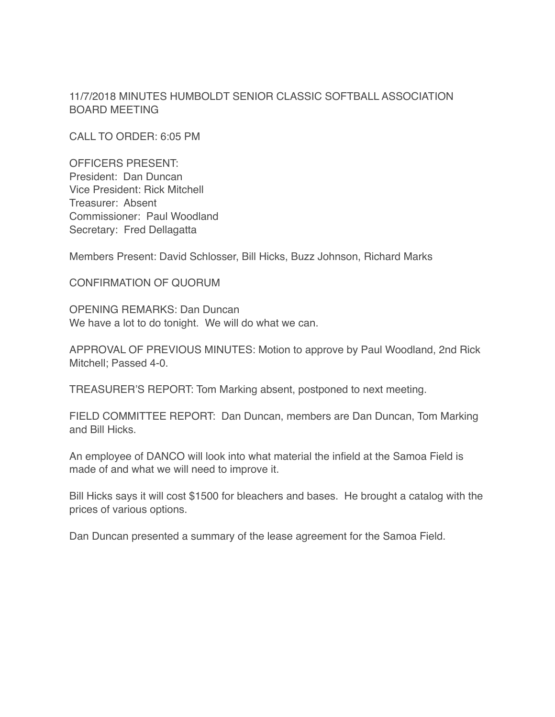11/7/2018 MINUTES HUMBOLDT SENIOR CLASSIC SOFTBALL ASSOCIATION BOARD MEETING

CALL TO ORDER: 6:05 PM

OFFICERS PRESENT: President: Dan Duncan Vice President: Rick Mitchell Treasurer: Absent Commissioner: Paul Woodland Secretary: Fred Dellagatta

Members Present: David Schlosser, Bill Hicks, Buzz Johnson, Richard Marks

CONFIRMATION OF QUORUM

OPENING REMARKS: Dan Duncan We have a lot to do tonight. We will do what we can.

APPROVAL OF PREVIOUS MINUTES: Motion to approve by Paul Woodland, 2nd Rick Mitchell; Passed 4-0.

TREASURER'S REPORT: Tom Marking absent, postponed to next meeting.

FIELD COMMITTEE REPORT: Dan Duncan, members are Dan Duncan, Tom Marking and Bill Hicks.

An employee of DANCO will look into what material the infield at the Samoa Field is made of and what we will need to improve it.

Bill Hicks says it will cost \$1500 for bleachers and bases. He brought a catalog with the prices of various options.

Dan Duncan presented a summary of the lease agreement for the Samoa Field.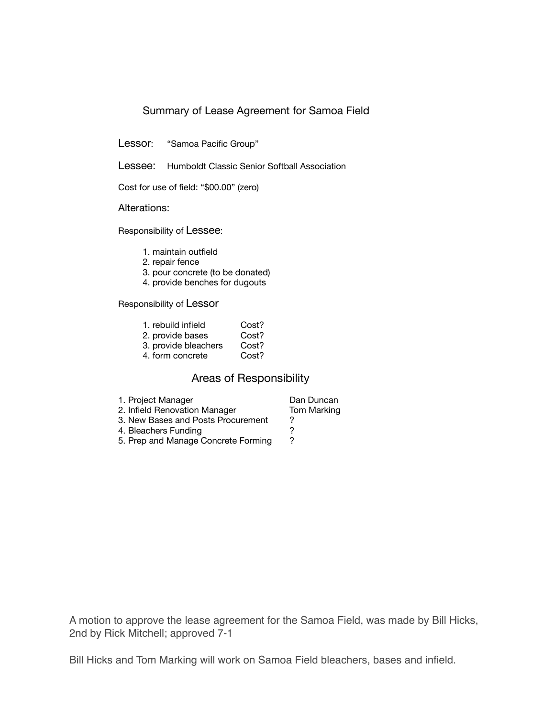## Summary of Lease Agreement for Samoa Field

Lessor: "Samoa Pacific Group"

Lessee: Humboldt Classic Senior Softball Association

Cost for use of field: "\$00.00" (zero)

Alterations:

Responsibility of Lessee:

- 1. maintain outfield
- 2. repair fence
- 3. pour concrete (to be donated)
- 4. provide benches for dugouts

Responsibility of Lessor

| 1. rebuild infield   | Cost? |
|----------------------|-------|
| 2. provide bases     | Cost? |
| 3. provide bleachers | Cost? |
| 4. form concrete     | Cost? |
|                      |       |

## Areas of Responsibility

1. Project Manager **Dan Duncan**<br>
2. Infield Renovation Manager **Dom Marking** 2. Infield Renovation Manager 3. New Bases and Posts Procurement ?<br>4. Bleachers Funding ? 4. Bleachers Funding<br>
5. Prep and Manage Concrete Forming 2 5. Prep and Manage Concrete Forming

A motion to approve the lease agreement for the Samoa Field, was made by Bill Hicks, 2nd by Rick Mitchell; approved 7-1

Bill Hicks and Tom Marking will work on Samoa Field bleachers, bases and infield.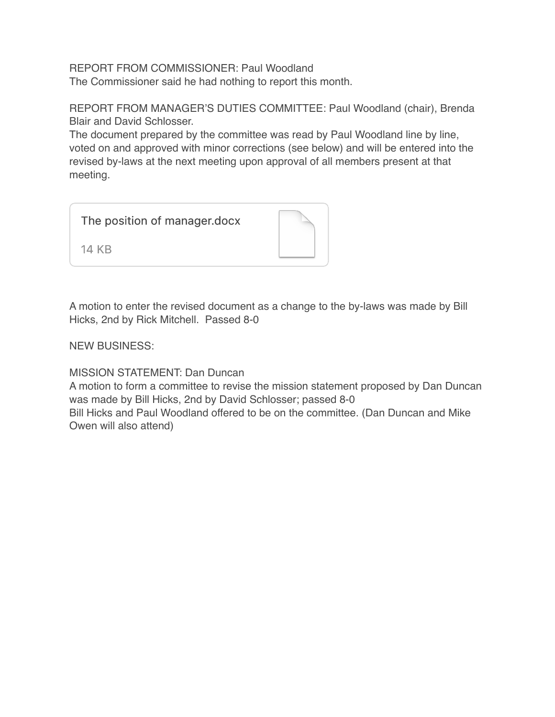REPORT FROM COMMISSIONER: Paul Woodland The Commissioner said he had nothing to report this month.

REPORT FROM MANAGER'S DUTIES COMMITTEE: Paul Woodland (chair), Brenda Blair and David Schlosser.

The document prepared by the committee was read by Paul Woodland line by line, voted on and approved with minor corrections (see below) and will be entered into the revised by-laws at the next meeting upon approval of all members present at that meeting.

The position of manager.docx

14 KB



NEW BUSINESS:

MISSION STATEMENT: Dan Duncan

A motion to form a committee to revise the mission statement proposed by Dan Duncan was made by Bill Hicks, 2nd by David Schlosser; passed 8-0

Bill Hicks and Paul Woodland offered to be on the committee. (Dan Duncan and Mike Owen will also attend)